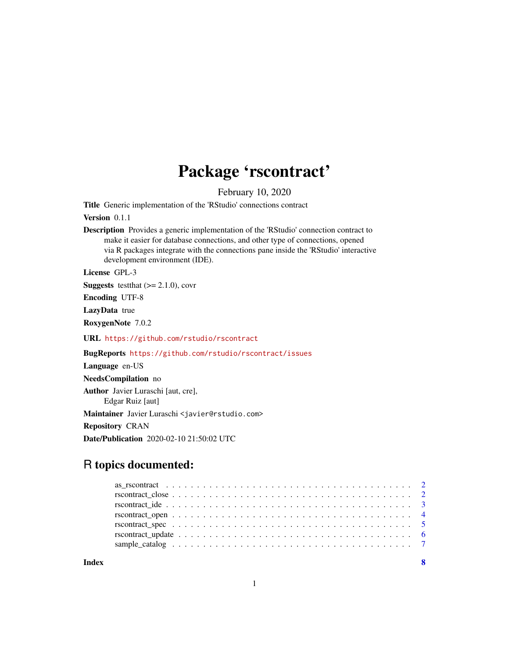# Package 'rscontract'

February 10, 2020

Title Generic implementation of the 'RStudio' connections contract

Version 0.1.1

Description Provides a generic implementation of the 'RStudio' connection contract to make it easier for database connections, and other type of connections, opened via R packages integrate with the connections pane inside the 'RStudio' interactive development environment (IDE).

License GPL-3

**Suggests** test that  $(>= 2.1.0)$ , covr

Encoding UTF-8

LazyData true

RoxygenNote 7.0.2

URL <https://github.com/rstudio/rscontract>

BugReports <https://github.com/rstudio/rscontract/issues>

Language en-US NeedsCompilation no Author Javier Luraschi [aut, cre], Edgar Ruiz [aut] Maintainer Javier Luraschi <javier@rstudio.com> Repository CRAN

Date/Publication 2020-02-10 21:50:02 UTC

# R topics documented:

**Index** [8](#page-7-0) **8**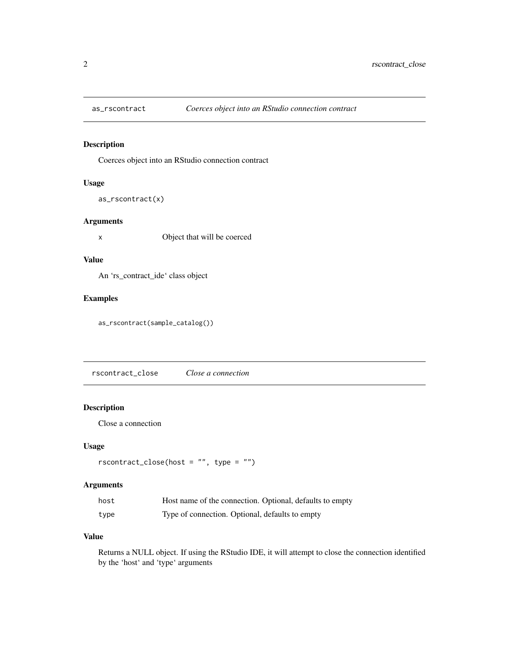<span id="page-1-0"></span>

# Description

Coerces object into an RStudio connection contract

# Usage

as\_rscontract(x)

#### Arguments

x Object that will be coerced

# Value

An 'rs\_contract\_ide' class object

# Examples

as\_rscontract(sample\_catalog())

rscontract\_close *Close a connection*

#### Description

Close a connection

#### Usage

```
rscontract\_close(host = "", type = "")
```
# Arguments

| host | Host name of the connection. Optional, defaults to empty |
|------|----------------------------------------------------------|
| type | Type of connection. Optional, defaults to empty          |

#### Value

Returns a NULL object. If using the RStudio IDE, it will attempt to close the connection identified by the 'host' and 'type' arguments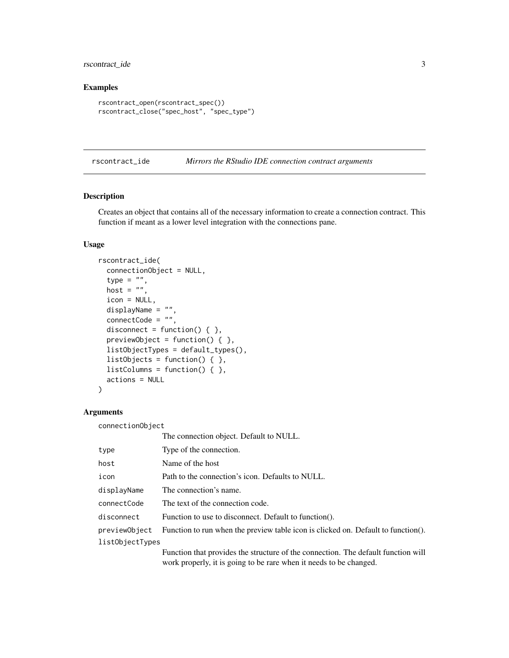# <span id="page-2-0"></span>rscontract\_ide 3

# Examples

```
rscontract_open(rscontract_spec())
rscontract_close("spec_host", "spec_type")
```
rscontract\_ide *Mirrors the RStudio IDE connection contract arguments*

#### Description

Creates an object that contains all of the necessary information to create a connection contract. This function if meant as a lower level integration with the connections pane.

# Usage

```
rscontract_ide(
  connectionObject = NULL,
  type = ",
 host = ",
  icon = NULL,
  displayName = "",
  connectCode = "",
  disconnect = function() { \},
 previewObject = function() \{ \},
  listObjectTypes = default_types(),
  listObjects = function() { },
  listColumns = function() { },
  actions = NULL
\mathcal{L}
```
# Arguments

connectionObject

|                 | The connection object. Default to NULL.                                                                                                                 |
|-----------------|---------------------------------------------------------------------------------------------------------------------------------------------------------|
| type            | Type of the connection.                                                                                                                                 |
| host            | Name of the host                                                                                                                                        |
| icon            | Path to the connection's icon. Defaults to NULL.                                                                                                        |
| displayName     | The connection's name.                                                                                                                                  |
| connectCode     | The text of the connection code.                                                                                                                        |
| disconnect      | Function to use to disconnect. Default to function().                                                                                                   |
| previewObject   | Function to run when the preview table icon is clicked on. Default to function().                                                                       |
| listObjectTypes |                                                                                                                                                         |
|                 | Function that provides the structure of the connection. The default function will<br>work properly, it is going to be rare when it needs to be changed. |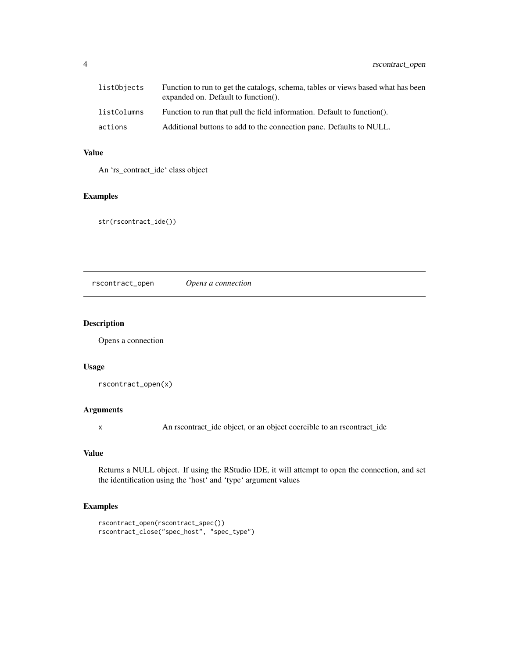<span id="page-3-0"></span>

| listObjects | Function to run to get the catalogs, schema, tables or views based what has been<br>expanded on. Default to function(). |
|-------------|-------------------------------------------------------------------------------------------------------------------------|
| listColumns | Function to run that pull the field information. Default to function().                                                 |
| actions     | Additional buttons to add to the connection pane. Defaults to NULL.                                                     |

# Value

An 'rs\_contract\_ide' class object

# Examples

str(rscontract\_ide())

rscontract\_open *Opens a connection*

# Description

Opens a connection

# Usage

rscontract\_open(x)

#### Arguments

x An rscontract\_ide object, or an object coercible to an rscontract\_ide

#### Value

Returns a NULL object. If using the RStudio IDE, it will attempt to open the connection, and set the identification using the 'host' and 'type' argument values

# Examples

```
rscontract_open(rscontract_spec())
rscontract_close("spec_host", "spec_type")
```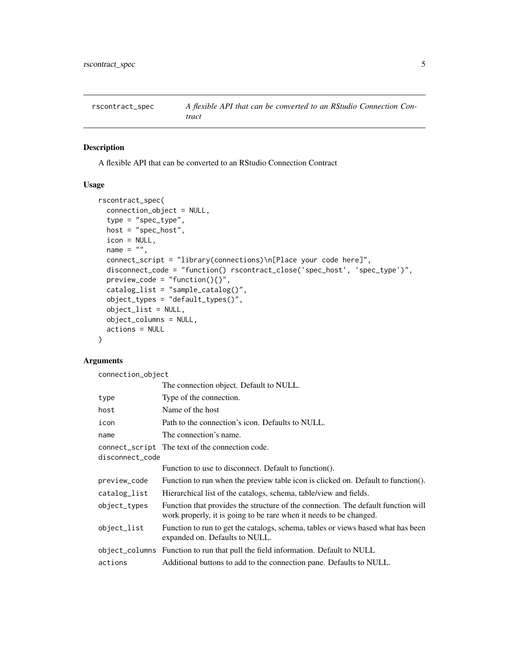<span id="page-4-0"></span>

#### Description

A flexible API that can be converted to an RStudio Connection Contract

#### Usage

```
rscontract_spec(
  connection_object = NULL,
  type = "spec_type",
 host = "spec\_host",icon = NULL,
 name = ",
  connect_script = "library(connections)\n[Place your code here]",
  disconnect_code = "function() rscontract_close('spec_host', 'spec_type')",
 preview\_code = "function(){}',
  catalog_list = "sample_catalog()",
 object_types = "default_types()",
 object_list = NULL,
 object_columns = NULL,
 actions = NULL
)
```
# Arguments

connection\_object

|                 | The connection object. Default to NULL.                                                                                                                 |
|-----------------|---------------------------------------------------------------------------------------------------------------------------------------------------------|
| type            | Type of the connection.                                                                                                                                 |
| host            | Name of the host                                                                                                                                        |
| icon            | Path to the connection's icon. Defaults to NULL.                                                                                                        |
| name            | The connection's name.                                                                                                                                  |
| disconnect_code | connect_script The text of the connection code.                                                                                                         |
|                 | Function to use to disconnect. Default to function().                                                                                                   |
| preview_code    | Function to run when the preview table icon is clicked on. Default to function().                                                                       |
| catalog_list    | Hierarchical list of the catalogs, schema, table/view and fields.                                                                                       |
| object_types    | Function that provides the structure of the connection. The default function will<br>work properly, it is going to be rare when it needs to be changed. |
| object_list     | Function to run to get the catalogs, schema, tables or views based what has been<br>expanded on. Defaults to NULL.                                      |
|                 | object_columns Function to run that pull the field information. Default to NULL                                                                         |
| actions         | Additional buttons to add to the connection pane. Defaults to NULL.                                                                                     |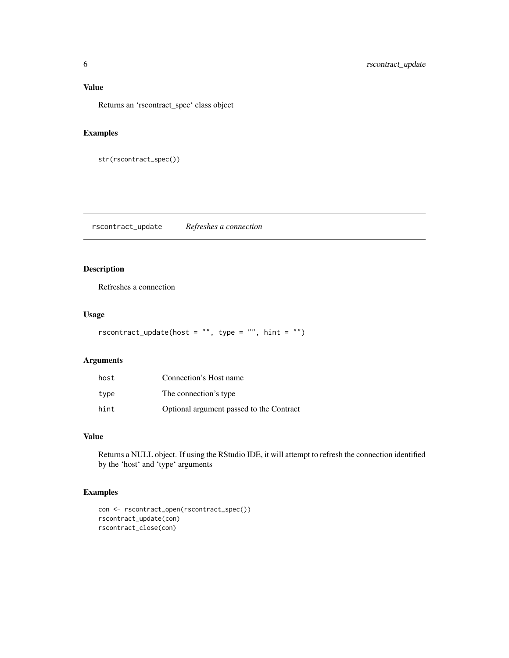# <span id="page-5-0"></span>Value

Returns an 'rscontract\_spec' class object

# Examples

```
str(rscontract_spec())
```
rscontract\_update *Refreshes a connection*

# Description

Refreshes a connection

# Usage

```
rscontract\_update(host = "", type = "", hint = "")
```
# Arguments

| host | Connection's Host name                   |
|------|------------------------------------------|
| type | The connection's type                    |
| hint | Optional argument passed to the Contract |

# Value

Returns a NULL object. If using the RStudio IDE, it will attempt to refresh the connection identified by the 'host' and 'type' arguments

# Examples

```
con <- rscontract_open(rscontract_spec())
rscontract_update(con)
rscontract_close(con)
```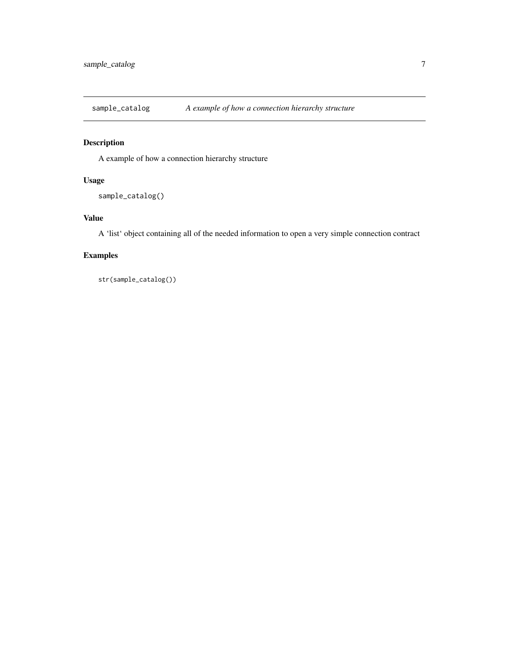<span id="page-6-0"></span>sample\_catalog *A example of how a connection hierarchy structure*

# Description

A example of how a connection hierarchy structure

# Usage

```
sample_catalog()
```
# Value

A 'list' object containing all of the needed information to open a very simple connection contract

# Examples

str(sample\_catalog())